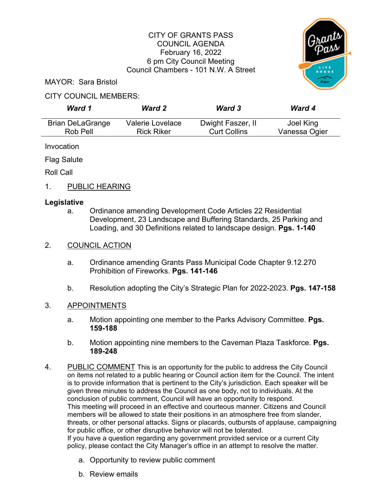# CITY OF GRANTS PASS COUNCIL AGENDA February 16, 2022 6 pm City Council Meeting Council Chambers - 101 N.W. A Street



MAYOR: Sara Bristol

# CITY COUNCIL MEMBERS:

| Ward 1                  | <b>Ward 2</b>     | <b>Ward 3</b>       | <b>Ward 4</b> |
|-------------------------|-------------------|---------------------|---------------|
| <b>Brian DeLaGrange</b> | Valerie Lovelace  | Dwight Faszer, II   | Joel King     |
| Rob Pell                | <b>Rick Riker</b> | <b>Curt Collins</b> | Vanessa Ogier |

Invocation

Flag Salute

Roll Call

1. PUBLIC HEARING

# **Legislative**

a. Ordinance amending Development Code Articles 22 Residential Development, 23 Landscape and Buffering Standards, 25 Parking and Loading, and 30 Definitions related to landscape design. **Pgs. 1-140**

## 2. COUNCIL ACTION

- a. Ordinance amending Grants Pass Municipal Code Chapter 9.12.270 Prohibition of Fireworks. **Pgs. 141-146**
- b. Resolution adopting the City's Strategic Plan for 2022-2023. **Pgs. 147-158**

## 3. APPOINTMENTS

- a. Motion appointing one member to the Parks Advisory Committee. **Pgs. 159-188**
- b. Motion appointing nine members to the Caveman Plaza Taskforce. **Pgs. 189-248**
- 4. PUBLIC COMMENT This is an opportunity for the public to address the City Council on items not related to a public hearing or Council action item for the Council. The intent is to provide information that is pertinent to the City's jurisdiction. Each speaker will be given three minutes to address the Council as one body, not to individuals. At the conclusion of public comment, Council will have an opportunity to respond. This meeting will proceed in an effective and courteous manner. Citizens and Council members will be allowed to state their positions in an atmosphere free from slander, threats, or other personal attacks. Signs or placards, outbursts of applause, campaigning for public office, or other disruptive behavior will not be tolerated. If you have a question regarding any government provided service or a current City policy, please contact the City Manager's office in an attempt to resolve the matter.
	- a. Opportunity to review public comment
	- b. Review emails